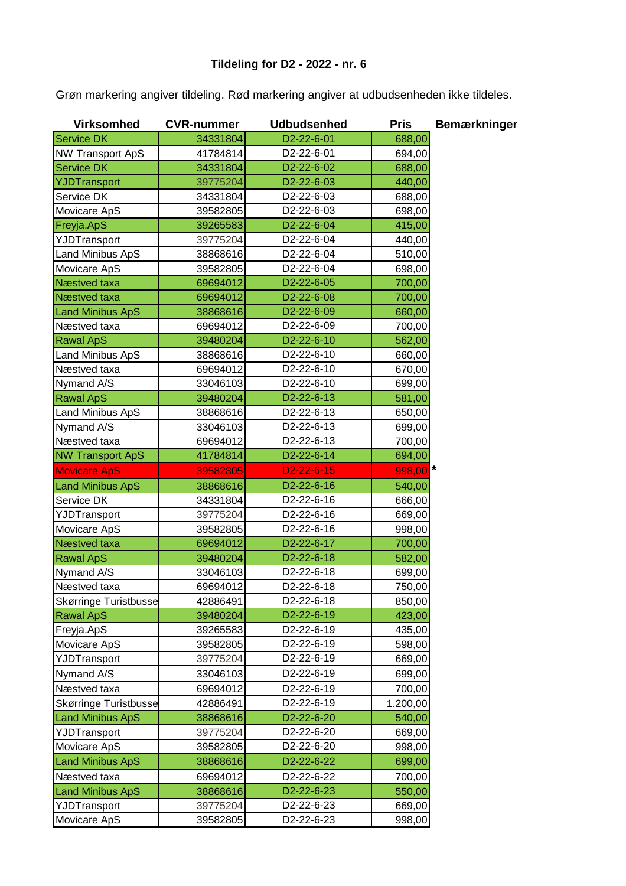Grøn markering angiver tildeling. Rød markering angiver at udbudsenheden ikke tildeles.

| <b>Virksomhed</b>            | <b>CVR-nummer</b> | <b>Udbudsenhed</b>      | <b>Pris</b> | <b>Bemærkninger</b> |
|------------------------------|-------------------|-------------------------|-------------|---------------------|
| <b>Service DK</b>            | 34331804          | D2-22-6-01              | 688,00      |                     |
| <b>NW Transport ApS</b>      | 41784814          | D2-22-6-01              | 694,00      |                     |
| <b>Service DK</b>            | 34331804          | D2-22-6-02              | 688,00      |                     |
| YJDTransport                 | 39775204          | D2-22-6-03              | 440,00      |                     |
| Service DK                   | 34331804          | D2-22-6-03              | 688,00      |                     |
| Movicare ApS                 | 39582805          | D2-22-6-03              | 698,00      |                     |
| Freyja.ApS                   | 39265583          | D2-22-6-04              | 415,00      |                     |
| YJDTransport                 | 39775204          | D2-22-6-04              | 440,00      |                     |
| Land Minibus ApS             | 38868616          | D2-22-6-04              | 510,00      |                     |
| Movicare ApS                 | 39582805          | D2-22-6-04              | 698,00      |                     |
| Næstved taxa                 | 69694012          | D2-22-6-05              | 700,00      |                     |
| Næstved taxa                 | 69694012          | D2-22-6-08              | 700,00      |                     |
| <b>Land Minibus ApS</b>      | 38868616          | D2-22-6-09              | 660,00      |                     |
| Næstved taxa                 | 69694012          | D2-22-6-09              | 700,00      |                     |
| <b>Rawal ApS</b>             | 39480204          | D <sub>2</sub> -22-6-10 | 562,00      |                     |
| Land Minibus ApS             | 38868616          | D2-22-6-10              | 660,00      |                     |
| Næstved taxa                 | 69694012          | D2-22-6-10              | 670,00      |                     |
| Nymand A/S                   | 33046103          | D2-22-6-10              | 699,00      |                     |
| <b>Rawal ApS</b>             | 39480204          | D2-22-6-13              | 581,00      |                     |
| Land Minibus ApS             | 38868616          | D2-22-6-13              | 650,00      |                     |
| Nymand A/S                   | 33046103          | D2-22-6-13              | 699,00      |                     |
| Næstved taxa                 | 69694012          | D <sub>2</sub> -22-6-13 | 700,00      |                     |
| <b>NW Transport ApS</b>      | 41784814          | D2-22-6-14              | 694,00      |                     |
| <b>Movicare ApS</b>          | 39582805          | $D2 - 22 - 6 - 15$      | $998,00$ *  |                     |
| <b>Land Minibus ApS</b>      | 38868616          | D2-22-6-16              | 540,00      |                     |
| Service DK                   | 34331804          | D2-22-6-16              | 666,00      |                     |
| YJDTransport                 | 39775204          | D2-22-6-16              | 669,00      |                     |
| Movicare ApS                 | 39582805          | D2-22-6-16              | 998,00      |                     |
| Næstved taxa                 | 69694012          | D2-22-6-17              | 700,00      |                     |
| <b>Rawal ApS</b>             | 39480204          | D2-22-6-18              | 582,00      |                     |
| Nymand A/S                   | 33046103          | D2-22-6-18              | 699,00      |                     |
| Næstved taxa                 | 69694012          | D <sub>2</sub> -22-6-18 | 750,00      |                     |
| <b>Skørringe Turistbusse</b> | 42886491          | D2-22-6-18              | 850,00      |                     |
| <b>Rawal ApS</b>             | 39480204          | D <sub>2</sub> -22-6-19 | 423,00      |                     |
| Freyja.ApS                   | 39265583          | D2-22-6-19              | 435,00      |                     |
| Movicare ApS                 | 39582805          | D2-22-6-19              | 598,00      |                     |
| YJDTransport                 | 39775204          | D2-22-6-19              | 669,00      |                     |
| Nymand A/S                   | 33046103          | D2-22-6-19              | 699,00      |                     |
| Næstved taxa                 | 69694012          | D2-22-6-19              | 700,00      |                     |
| <b>Skørringe Turistbusse</b> | 42886491          | D2-22-6-19              | 1.200,00    |                     |
| <b>Land Minibus ApS</b>      | 38868616          | D2-22-6-20              | 540,00      |                     |
| YJDTransport                 | 39775204          | D2-22-6-20              | 669,00      |                     |
| Movicare ApS                 | 39582805          | D2-22-6-20              | 998,00      |                     |
| <b>Land Minibus ApS</b>      | 38868616          | D2-22-6-22              | 699,00      |                     |
| Næstved taxa                 | 69694012          | D2-22-6-22              | 700,00      |                     |
| <b>Land Minibus ApS</b>      | 38868616          | D2-22-6-23              | 550,00      |                     |
| YJDTransport                 | 39775204          | D2-22-6-23              | 669,00      |                     |
| Movicare ApS                 | 39582805          | D2-22-6-23              | 998,00      |                     |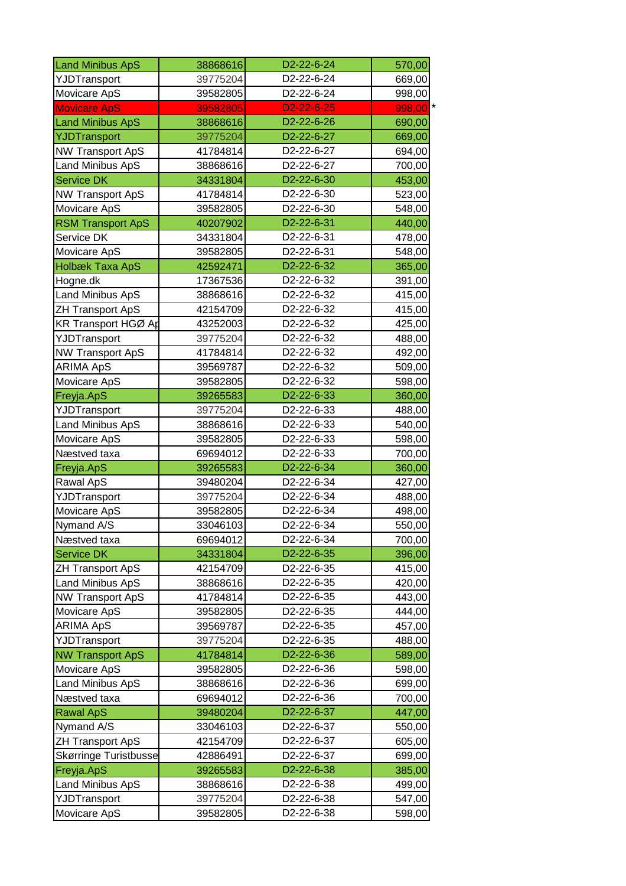| <b>Land Minibus ApS</b>      | 38868616 | D2-22-6-24              | 570,00           |
|------------------------------|----------|-------------------------|------------------|
| YJDTransport                 | 39775204 | D2-22-6-24              | 669,00           |
| Movicare ApS                 | 39582805 | D2-22-6-24              | 998,00           |
| <b>Movicare ApS</b>          | 39582805 | $D2 - 22 - 6 - 25$      | $998,00$ *       |
| <b>Land Minibus ApS</b>      | 38868616 | D2-22-6-26              | 690,00           |
| YJDTransport                 | 39775204 | D2-22-6-27              | 669,00           |
| <b>NW Transport ApS</b>      | 41784814 | D2-22-6-27              | 694,00           |
| Land Minibus ApS             | 38868616 | D2-22-6-27              | 700,00           |
| <b>Service DK</b>            | 34331804 | D2-22-6-30              | 453,00           |
| <b>NW Transport ApS</b>      | 41784814 | D2-22-6-30              | 523,00           |
| Movicare ApS                 | 39582805 | D2-22-6-30              | 548,00           |
| <b>RSM Transport ApS</b>     | 40207902 | D2-22-6-31              | 440,00           |
|                              |          | D2-22-6-31              |                  |
| Service DK                   | 34331804 |                         | 478,00           |
| Movicare ApS                 | 39582805 | D2-22-6-31              | 548,00           |
| Holbæk Taxa ApS              | 42592471 | D2-22-6-32              | 365,00           |
| Hogne.dk                     | 17367536 | D2-22-6-32              | 391,00           |
| <b>Land Minibus ApS</b>      | 38868616 | D2-22-6-32              | 415,00           |
| <b>ZH Transport ApS</b>      | 42154709 | D2-22-6-32              | 415,00           |
| <b>KR Transport HGØ Ap</b>   | 43252003 | D2-22-6-32              | 425,00           |
| YJDTransport                 | 39775204 | D2-22-6-32              | 488,00           |
| <b>NW Transport ApS</b>      | 41784814 | D2-22-6-32              | 492,00           |
| <b>ARIMA ApS</b>             | 39569787 | D2-22-6-32              | 509,00           |
| Movicare ApS                 | 39582805 | D2-22-6-32              | 598,00           |
| Freyja.ApS                   | 39265583 | D2-22-6-33              | 360,00           |
| YJDTransport                 | 39775204 | D2-22-6-33              | 488,00           |
| Land Minibus ApS             | 38868616 | D2-22-6-33              | 540,00           |
| Movicare ApS                 | 39582805 | D2-22-6-33              | 598,00           |
| Næstved taxa                 | 69694012 | D2-22-6-33              | 700,00           |
| Freyja.ApS                   | 39265583 | D2-22-6-34              | 360,00           |
| Rawal ApS                    | 39480204 | D2-22-6-34              | 427,00           |
| YJDTransport                 | 39775204 | D2-22-6-34              | 488,00           |
| Movicare ApS                 | 39582805 | D2-22-6-34              | 498,00           |
| Nymand A/S                   | 33046103 | D <sub>2</sub> -22-6-34 | 550,00           |
| Næstved taxa                 | 69694012 | D2-22-6-34              | 700,00           |
| <b>Service DK</b>            | 34331804 | D2-22-6-35              | 396,00           |
| <b>ZH Transport ApS</b>      | 42154709 | D2-22-6-35              | 415,00           |
| Land Minibus ApS             | 38868616 | D2-22-6-35              | 420,00           |
| <b>NW Transport ApS</b>      | 41784814 | D2-22-6-35              | 443,00           |
| Movicare ApS                 | 39582805 | D2-22-6-35              | 444,00           |
| <b>ARIMA ApS</b>             | 39569787 | D2-22-6-35              | 457,00           |
| YJDTransport                 | 39775204 | D2-22-6-35              | 488,00           |
| <b>NW Transport ApS</b>      | 41784814 | D2-22-6-36              | 589,00           |
| Movicare ApS                 | 39582805 | D2-22-6-36              | 598,00           |
| Land Minibus ApS             | 38868616 | D2-22-6-36              | 699,00           |
| Næstved taxa                 | 69694012 | D2-22-6-36              | 700,00           |
| <b>Rawal ApS</b>             | 39480204 | D2-22-6-37              | 447,00           |
| Nymand A/S                   | 33046103 | D <sub>2</sub> -22-6-37 | 550,00           |
| <b>ZH Transport ApS</b>      | 42154709 | D2-22-6-37              | 605,00           |
| <b>Skørringe Turistbusse</b> | 42886491 | D2-22-6-37              | 699,00           |
| Freyja.ApS                   | 39265583 | D2-22-6-38              | 385,00           |
| Land Minibus ApS             | 38868616 | D2-22-6-38              | 499,00           |
| YJDTransport                 | 39775204 | D2-22-6-38              |                  |
| Movicare ApS                 | 39582805 | D2-22-6-38              | 547,00<br>598,00 |
|                              |          |                         |                  |